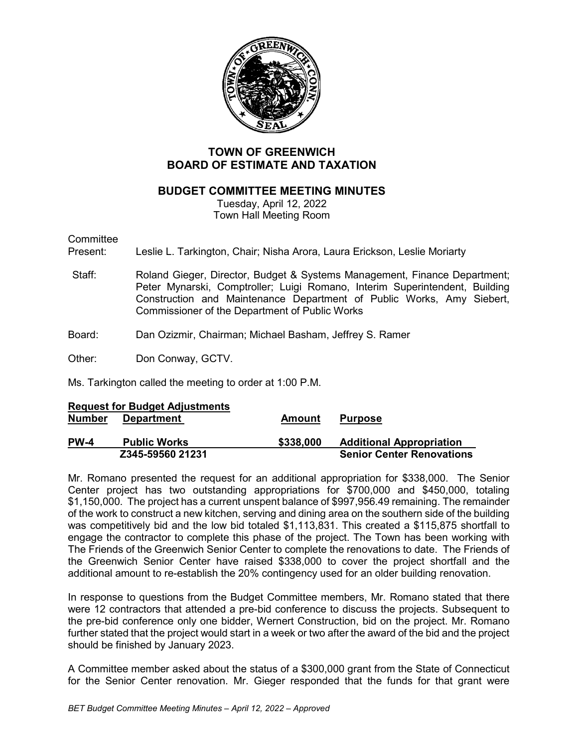

# **TOWN OF GREENWICH BOARD OF ESTIMATE AND TAXATION**

# **BUDGET COMMITTEE MEETING MINUTES**

Tuesday, April 12, 2022 Town Hall Meeting Room

Committee<br>Present:

Leslie L. Tarkington, Chair; Nisha Arora, Laura Erickson, Leslie Moriarty

- Staff: Roland Gieger, Director, Budget & Systems Management, Finance Department; Peter Mynarski, Comptroller; Luigi Romano, Interim Superintendent, Building Construction and Maintenance Department of Public Works, Amy Siebert, Commissioner of the Department of Public Works
- Board: Dan Ozizmir, Chairman; Michael Basham, Jeffrey S. Ramer
- Other: Don Conway, GCTV.

Ms. Tarkington called the meeting to order at 1:00 P.M.

|               | Z345-59560 21231                      |           | <b>Senior Center Renovations</b> |
|---------------|---------------------------------------|-----------|----------------------------------|
| <b>PW-4</b>   | <b>Public Works</b>                   | \$338,000 | <b>Additional Appropriation</b>  |
| <b>Number</b> | <b>Department</b>                     | Amount    | <b>Purpose</b>                   |
|               | <b>Request for Budget Adjustments</b> |           |                                  |

Mr. Romano presented the request for an additional appropriation for \$338,000. The Senior Center project has two outstanding appropriations for \$700,000 and \$450,000, totaling \$1,150,000. The project has a current unspent balance of \$997,956.49 remaining. The remainder of the work to construct a new kitchen, serving and dining area on the southern side of the building was competitively bid and the low bid totaled \$1,113,831. This created a \$115,875 shortfall to engage the contractor to complete this phase of the project. The Town has been working with The Friends of the Greenwich Senior Center to complete the renovations to date. The Friends of the Greenwich Senior Center have raised \$338,000 to cover the project shortfall and the additional amount to re-establish the 20% contingency used for an older building renovation.

In response to questions from the Budget Committee members, Mr. Romano stated that there were 12 contractors that attended a pre-bid conference to discuss the projects. Subsequent to the pre-bid conference only one bidder, Wernert Construction, bid on the project. Mr. Romano further stated that the project would start in a week or two after the award of the bid and the project should be finished by January 2023.

A Committee member asked about the status of a \$300,000 grant from the State of Connecticut for the Senior Center renovation. Mr. Gieger responded that the funds for that grant were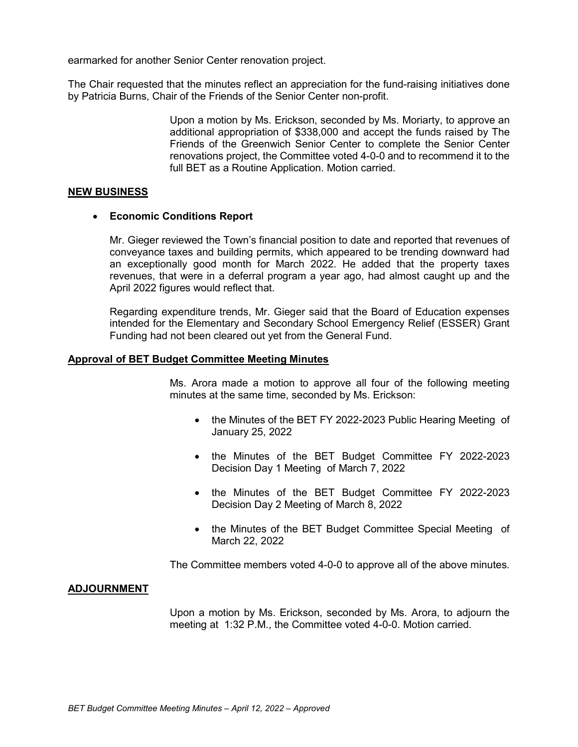earmarked for another Senior Center renovation project.

The Chair requested that the minutes reflect an appreciation for the fund-raising initiatives done by Patricia Burns, Chair of the Friends of the Senior Center non-profit.

> Upon a motion by Ms. Erickson, seconded by Ms. Moriarty, to approve an additional appropriation of \$338,000 and accept the funds raised by The Friends of the Greenwich Senior Center to complete the Senior Center renovations project, the Committee voted 4-0-0 and to recommend it to the full BET as a Routine Application. Motion carried.

## **NEW BUSINESS**

## • **Economic Conditions Report**

Mr. Gieger reviewed the Town's financial position to date and reported that revenues of conveyance taxes and building permits, which appeared to be trending downward had an exceptionally good month for March 2022. He added that the property taxes revenues, that were in a deferral program a year ago, had almost caught up and the April 2022 figures would reflect that.

Regarding expenditure trends, Mr. Gieger said that the Board of Education expenses intended for the Elementary and Secondary School Emergency Relief (ESSER) Grant Funding had not been cleared out yet from the General Fund.

### **Approval of BET Budget Committee Meeting Minutes**

Ms. Arora made a motion to approve all four of the following meeting minutes at the same time, seconded by Ms. Erickson:

- the Minutes of the BET FY 2022-2023 Public Hearing Meeting of January 25, 2022
- the Minutes of the BET Budget Committee FY 2022-2023 Decision Day 1 Meeting of March 7, 2022
- the Minutes of the BET Budget Committee FY 2022-2023 Decision Day 2 Meeting of March 8, 2022
- the Minutes of the BET Budget Committee Special Meeting of March 22, 2022

The Committee members voted 4-0-0 to approve all of the above minutes.

### **ADJOURNMENT**

Upon a motion by Ms. Erickson, seconded by Ms. Arora, to adjourn the meeting at 1:32 P.M., the Committee voted 4-0-0. Motion carried.